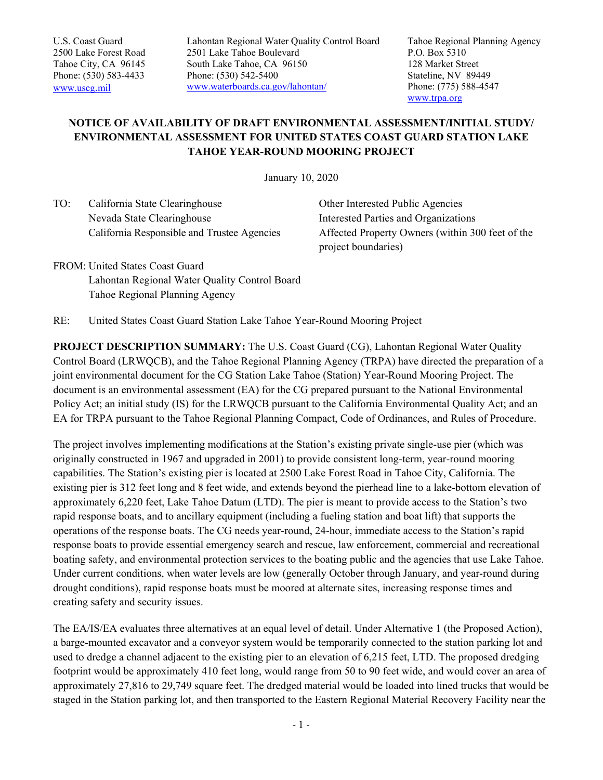Lahontan Regional Water Quality Control Board 2501 Lake Tahoe Boulevard South Lake Tahoe, CA 96150 Phone: (530) 542-5400 www.waterboards.ca.gov/lahontan/

Tahoe Regional Planning Agency P.O. Box 5310 128 Market Street Stateline, NV 89449 Phone: (775) 588-4547 www.trpa.org

## **NOTICE OF AVAILABILITY OF DRAFT ENVIRONMENTAL ASSESSMENT/INITIAL STUDY/ ENVIRONMENTAL ASSESSMENT FOR UNITED STATES COAST GUARD STATION LAKE TAHOE YEAR-ROUND MOORING PROJECT**

January 10, 2020

TO: California State Clearinghouse Nevada State Clearinghouse California Responsible and Trustee Agencies

Other Interested Public Agencies Interested Parties and Organizations Affected Property Owners (within 300 feet of the project boundaries)

FROM: United States Coast Guard Lahontan Regional Water Quality Control Board Tahoe Regional Planning Agency

RE: United States Coast Guard Station Lake Tahoe Year-Round Mooring Project

**PROJECT DESCRIPTION SUMMARY:** The U.S. Coast Guard (CG), Lahontan Regional Water Quality Control Board (LRWQCB), and the Tahoe Regional Planning Agency (TRPA) have directed the preparation of a joint environmental document for the CG Station Lake Tahoe (Station) Year-Round Mooring Project. The document is an environmental assessment (EA) for the CG prepared pursuant to the National Environmental Policy Act; an initial study (IS) for the LRWQCB pursuant to the California Environmental Quality Act; and an EA for TRPA pursuant to the Tahoe Regional Planning Compact, Code of Ordinances, and Rules of Procedure.

The project involves implementing modifications at the Station's existing private single-use pier (which was originally constructed in 1967 and upgraded in 2001) to provide consistent long-term, year-round mooring capabilities. The Station's existing pier is located at 2500 Lake Forest Road in Tahoe City, California. The existing pier is 312 feet long and 8 feet wide, and extends beyond the pierhead line to a lake-bottom elevation of approximately 6,220 feet, Lake Tahoe Datum (LTD). The pier is meant to provide access to the Station's two rapid response boats, and to ancillary equipment (including a fueling station and boat lift) that supports the operations of the response boats. The CG needs year-round, 24-hour, immediate access to the Station's rapid response boats to provide essential emergency search and rescue, law enforcement, commercial and recreational boating safety, and environmental protection services to the boating public and the agencies that use Lake Tahoe. Under current conditions, when water levels are low (generally October through January, and year-round during drought conditions), rapid response boats must be moored at alternate sites, increasing response times and creating safety and security issues.

The EA/IS/EA evaluates three alternatives at an equal level of detail. Under Alternative 1 (the Proposed Action), a barge-mounted excavator and a conveyor system would be temporarily connected to the station parking lot and used to dredge a channel adjacent to the existing pier to an elevation of 6,215 feet, LTD. The proposed dredging footprint would be approximately 410 feet long, would range from 50 to 90 feet wide, and would cover an area of approximately 27,816 to 29,749 square feet. The dredged material would be loaded into lined trucks that would be staged in the Station parking lot, and then transported to the Eastern Regional Material Recovery Facility near the